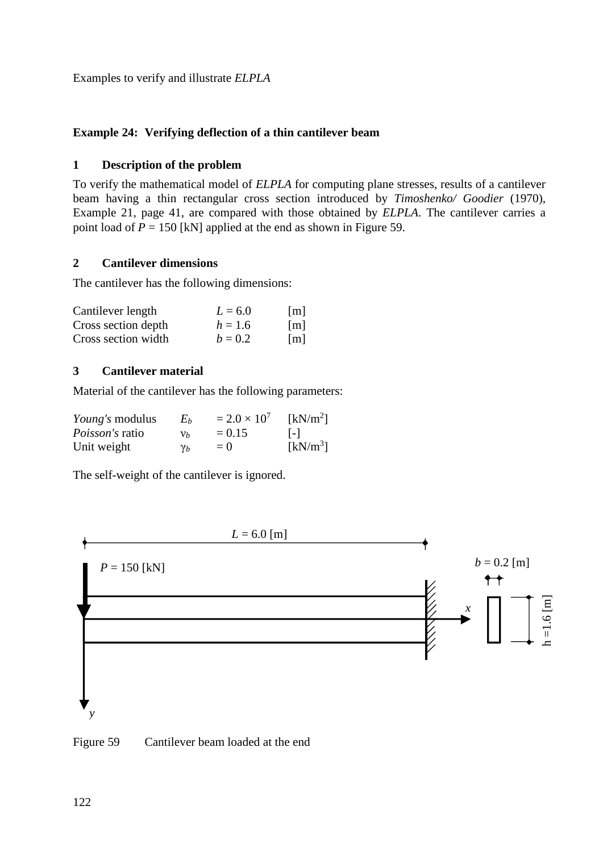Examples to verify and illustrate *ELPLA*

# **Example 24: Verifying deflection of a thin cantilever beam**

#### **1 Description of the problem**

To verify the mathematical model of *ELPLA* for computing plane stresses, results of a cantilever beam having a thin rectangular cross section introduced by *Timoshenko/ Goodier* (1970), Example 21, page 41, are compared with those obtained by *ELPLA*. The cantilever carries a point load of  $P = 150$  [kN] applied at the end as shown in [Figure 59.](#page-0-0)

## **2 Cantilever dimensions**

The cantilever has the following dimensions:

| Cantilever length   | $L = 6.0$ | $\lceil m \rceil$ |
|---------------------|-----------|-------------------|
| Cross section depth | $h = 1.6$ | [m]               |
| Cross section width | $b = 0.2$ | $\lceil m \rceil$ |

## **3 Cantilever material**

Material of the cantilever has the following parameters:

| <i>Young's</i> modulus | Eь         | $= 2.0 \times 10^{7}$ | [kN/m <sup>2</sup> ] |
|------------------------|------------|-----------------------|----------------------|
| <i>Poisson's</i> ratio | ${\nu}_h$  | $= 0.15$              | $ - $                |
| Unit weight            | $\gamma_b$ | $=$ ()                | $[kN/m^3]$           |

The self-weight of the cantilever is ignored.



<span id="page-0-0"></span>Figure 59 Cantilever beam loaded at the end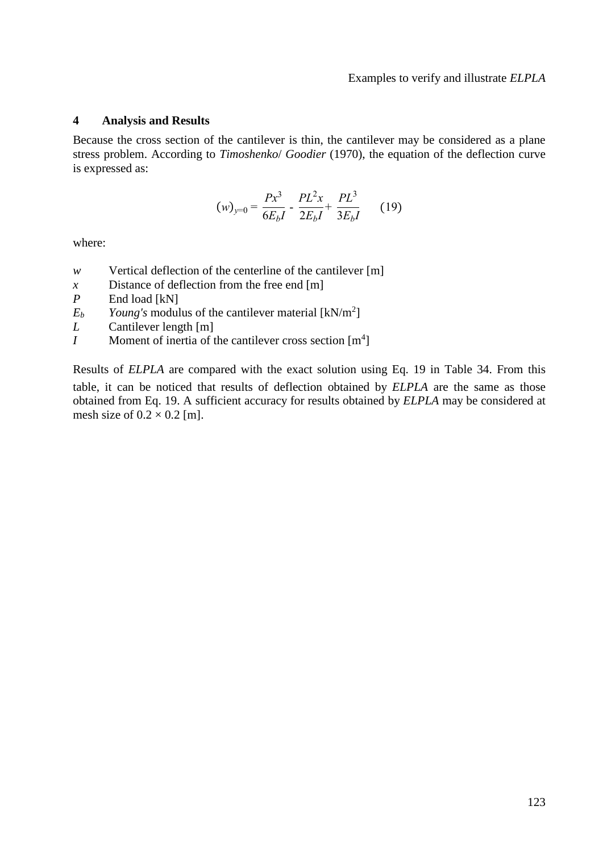#### **4 Analysis and Results**

Because the cross section of the cantilever is thin, the cantilever may be considered as a plane stress problem. According to *Timoshenko*/ *Goodier* (1970), the equation of the deflection curve is expressed as:

$$
(w)_{y=0} = \frac{Px^3}{6E_bI} - \frac{PL^2x}{2E_bI} + \frac{PL^3}{3E_bI}
$$
 (19)

where:

- *w* Vertical deflection of the centerline of the cantilever [m]
- *x* Distance of deflection from the free end [m]
- *P* End load [kN]
- $E_b$  *Young's* modulus of the cantilever material  $\text{[kN/m}^2\text{]}$
- *L* Cantilever length [m]
- *I* Moment of inertia of the cantilever cross section [m<sup>4</sup>]

Results of *ELPLA* are compared with the exact solution using Eq. 19 in [Table 34.](#page-2-0) From this table, it can be noticed that results of deflection obtained by *ELPLA* are the same as those obtained from Eq. 19. A sufficient accuracy for results obtained by *ELPLA* may be considered at mesh size of  $0.2 \times 0.2$  [m].